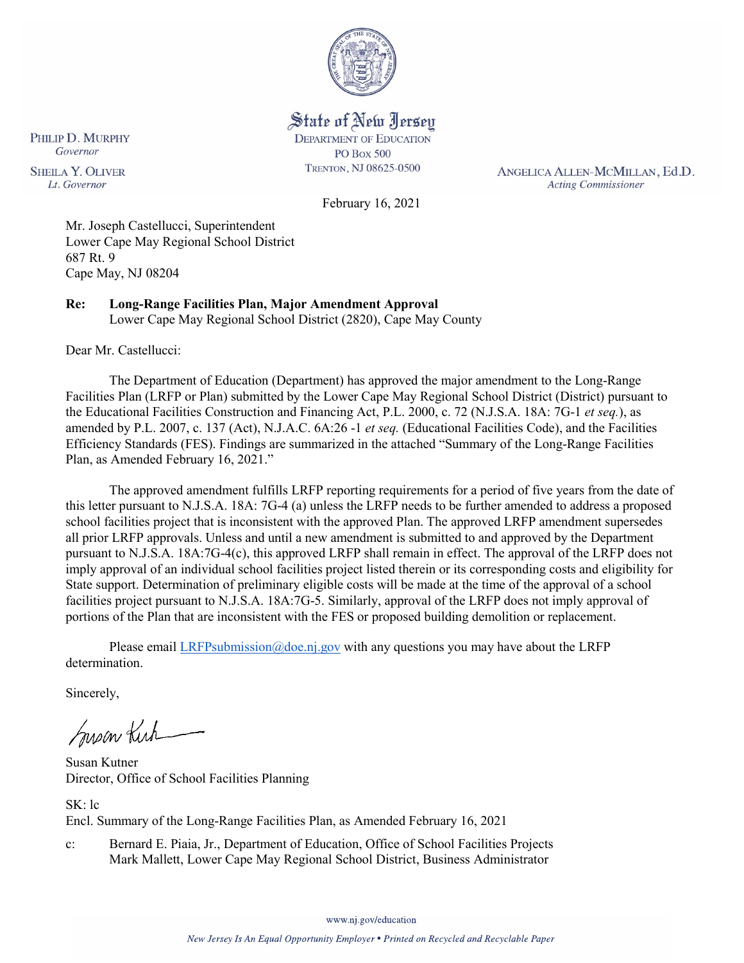

State of New Jersey **DEPARTMENT OF EDUCATION PO Box 500** 

TRENTON, NJ 08625-0500

ANGELICA ALLEN-MCMILLAN, Ed.D. **Acting Commissioner** 

February 16, 2021

Mr. Joseph Castellucci, Superintendent Lower Cape May Regional School District 687 Rt. 9 Cape May, NJ 08204

**Re: Long-Range Facilities Plan, Major Amendment Approval**  Lower Cape May Regional School District (2820), Cape May County

Dear Mr. Castellucci:

PHILIP D. MURPHY Governor

**SHEILA Y. OLIVER** 

Lt. Governor

The Department of Education (Department) has approved the major amendment to the Long-Range Facilities Plan (LRFP or Plan) submitted by the Lower Cape May Regional School District (District) pursuant to the Educational Facilities Construction and Financing Act, P.L. 2000, c. 72 (N.J.S.A. 18A: 7G-1 *et seq.*), as amended by P.L. 2007, c. 137 (Act), N.J.A.C. 6A:26 -1 *et seq.* (Educational Facilities Code), and the Facilities Efficiency Standards (FES). Findings are summarized in the attached "Summary of the Long-Range Facilities Plan, as Amended February 16, 2021."

The approved amendment fulfills LRFP reporting requirements for a period of five years from the date of this letter pursuant to N.J.S.A. 18A: 7G-4 (a) unless the LRFP needs to be further amended to address a proposed school facilities project that is inconsistent with the approved Plan. The approved LRFP amendment supersedes all prior LRFP approvals. Unless and until a new amendment is submitted to and approved by the Department pursuant to N.J.S.A. 18A:7G-4(c), this approved LRFP shall remain in effect. The approval of the LRFP does not imply approval of an individual school facilities project listed therein or its corresponding costs and eligibility for State support. Determination of preliminary eligible costs will be made at the time of the approval of a school facilities project pursuant to N.J.S.A. 18A:7G-5. Similarly, approval of the LRFP does not imply approval of portions of the Plan that are inconsistent with the FES or proposed building demolition or replacement.

Please email [LRFPsubmission@doe.nj.gov](mailto:LRFPsubmission@doe.nj.gov) with any questions you may have about the LRFP determination.

Sincerely,

Susan Kich

Susan Kutner Director, Office of School Facilities Planning

SK: lc Encl. Summary of the Long-Range Facilities Plan, as Amended February 16, 2021

c: Bernard E. Piaia, Jr., Department of Education, Office of School Facilities Projects Mark Mallett, Lower Cape May Regional School District, Business Administrator

www.nj.gov/education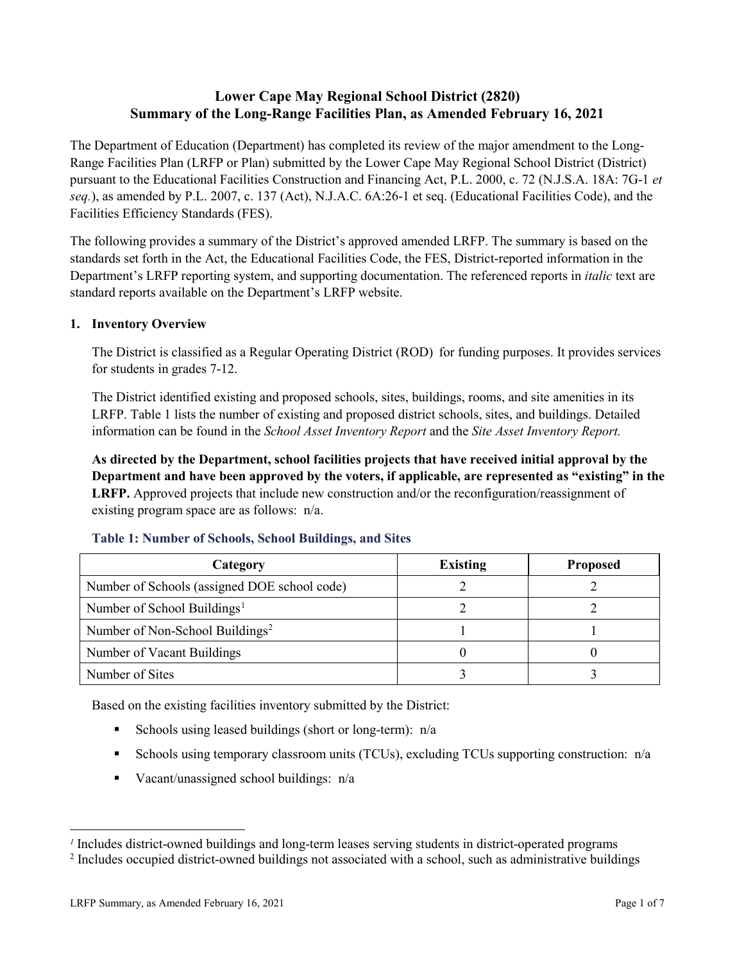### **Lower Cape May Regional School District (2820) Summary of the Long-Range Facilities Plan, as Amended February 16, 2021**

The Department of Education (Department) has completed its review of the major amendment to the Long-Range Facilities Plan (LRFP or Plan) submitted by the Lower Cape May Regional School District (District) pursuant to the Educational Facilities Construction and Financing Act, P.L. 2000, c. 72 (N.J.S.A. 18A: 7G-1 *et seq.*), as amended by P.L. 2007, c. 137 (Act), N.J.A.C. 6A:26-1 et seq. (Educational Facilities Code), and the Facilities Efficiency Standards (FES).

The following provides a summary of the District's approved amended LRFP. The summary is based on the standards set forth in the Act, the Educational Facilities Code, the FES, District-reported information in the Department's LRFP reporting system, and supporting documentation. The referenced reports in *italic* text are standard reports available on the Department's LRFP website.

### **1. Inventory Overview**

The District is classified as a Regular Operating District (ROD) for funding purposes. It provides services for students in grades 7-12.

The District identified existing and proposed schools, sites, buildings, rooms, and site amenities in its LRFP. Table 1 lists the number of existing and proposed district schools, sites, and buildings. Detailed information can be found in the *School Asset Inventory Report* and the *Site Asset Inventory Report.*

**As directed by the Department, school facilities projects that have received initial approval by the Department and have been approved by the voters, if applicable, are represented as "existing" in the LRFP.** Approved projects that include new construction and/or the reconfiguration/reassignment of existing program space are as follows: n/a.

| Category                                     | <b>Existing</b> | <b>Proposed</b> |
|----------------------------------------------|-----------------|-----------------|
| Number of Schools (assigned DOE school code) |                 |                 |
| Number of School Buildings <sup>1</sup>      |                 |                 |
| Number of Non-School Buildings <sup>2</sup>  |                 |                 |
| Number of Vacant Buildings                   |                 |                 |
| Number of Sites                              |                 |                 |

#### **Table 1: Number of Schools, School Buildings, and Sites**

Based on the existing facilities inventory submitted by the District:

- Schools using leased buildings (short or long-term):  $n/a$
- Schools using temporary classroom units (TCUs), excluding TCUs supporting construction:  $n/a$
- Vacant/unassigned school buildings:  $n/a$

 $\overline{a}$ 

<span id="page-1-1"></span><span id="page-1-0"></span>*<sup>1</sup>* Includes district-owned buildings and long-term leases serving students in district-operated programs

<sup>&</sup>lt;sup>2</sup> Includes occupied district-owned buildings not associated with a school, such as administrative buildings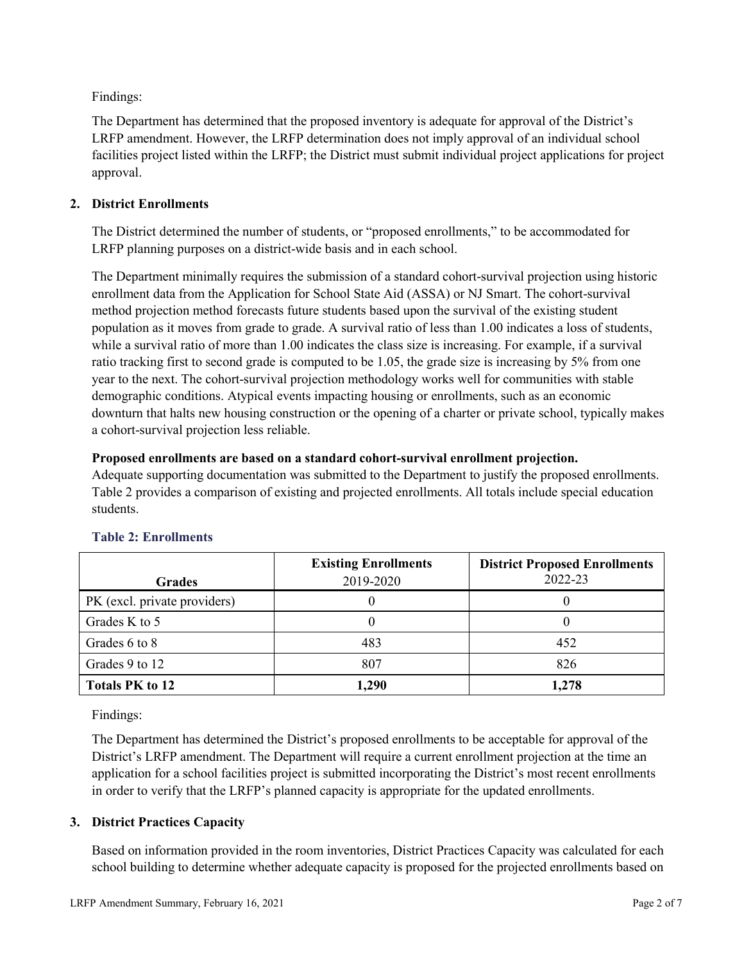Findings:

The Department has determined that the proposed inventory is adequate for approval of the District's LRFP amendment. However, the LRFP determination does not imply approval of an individual school facilities project listed within the LRFP; the District must submit individual project applications for project approval.

### **2. District Enrollments**

The District determined the number of students, or "proposed enrollments," to be accommodated for LRFP planning purposes on a district-wide basis and in each school.

The Department minimally requires the submission of a standard cohort-survival projection using historic enrollment data from the Application for School State Aid (ASSA) or NJ Smart. The cohort-survival method projection method forecasts future students based upon the survival of the existing student population as it moves from grade to grade. A survival ratio of less than 1.00 indicates a loss of students, while a survival ratio of more than 1.00 indicates the class size is increasing. For example, if a survival ratio tracking first to second grade is computed to be 1.05, the grade size is increasing by 5% from one year to the next. The cohort-survival projection methodology works well for communities with stable demographic conditions. Atypical events impacting housing or enrollments, such as an economic downturn that halts new housing construction or the opening of a charter or private school, typically makes a cohort-survival projection less reliable.

### **Proposed enrollments are based on a standard cohort-survival enrollment projection.**

Adequate supporting documentation was submitted to the Department to justify the proposed enrollments. Table 2 provides a comparison of existing and projected enrollments. All totals include special education students.

|                              | <b>Existing Enrollments</b> | <b>District Proposed Enrollments</b><br>2022-23 |
|------------------------------|-----------------------------|-------------------------------------------------|
| <b>Grades</b>                | 2019-2020                   |                                                 |
| PK (excl. private providers) |                             |                                                 |
| Grades K to 5                |                             |                                                 |
| Grades 6 to 8                | 483                         | 452                                             |
| Grades 9 to 12               | 807                         | 826                                             |
| <b>Totals PK to 12</b>       | 1,290                       | 1,278                                           |

# **Table 2: Enrollments**

Findings:

The Department has determined the District's proposed enrollments to be acceptable for approval of the District's LRFP amendment. The Department will require a current enrollment projection at the time an application for a school facilities project is submitted incorporating the District's most recent enrollments in order to verify that the LRFP's planned capacity is appropriate for the updated enrollments.

# **3. District Practices Capacity**

Based on information provided in the room inventories, District Practices Capacity was calculated for each school building to determine whether adequate capacity is proposed for the projected enrollments based on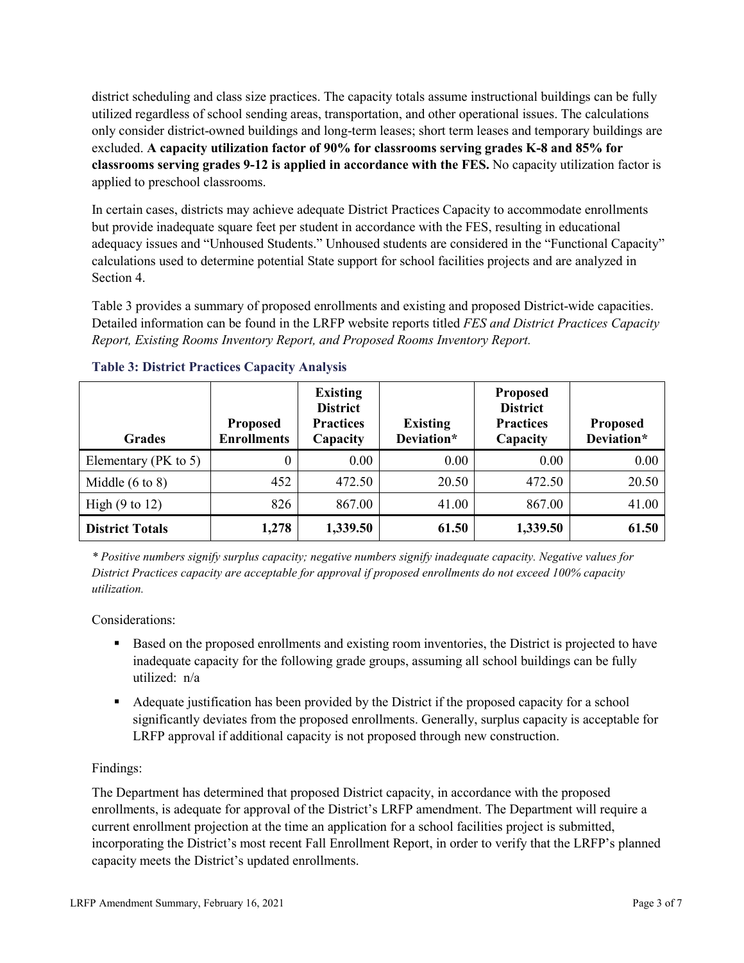district scheduling and class size practices. The capacity totals assume instructional buildings can be fully utilized regardless of school sending areas, transportation, and other operational issues. The calculations only consider district-owned buildings and long-term leases; short term leases and temporary buildings are excluded. **A capacity utilization factor of 90% for classrooms serving grades K-8 and 85% for classrooms serving grades 9-12 is applied in accordance with the FES.** No capacity utilization factor is applied to preschool classrooms.

In certain cases, districts may achieve adequate District Practices Capacity to accommodate enrollments but provide inadequate square feet per student in accordance with the FES, resulting in educational adequacy issues and "Unhoused Students." Unhoused students are considered in the "Functional Capacity" calculations used to determine potential State support for school facilities projects and are analyzed in Section 4.

Table 3 provides a summary of proposed enrollments and existing and proposed District-wide capacities. Detailed information can be found in the LRFP website reports titled *FES and District Practices Capacity Report, Existing Rooms Inventory Report, and Proposed Rooms Inventory Report.*

| <b>Grades</b>              | <b>Proposed</b><br><b>Enrollments</b> | <b>Existing</b><br><b>District</b><br><b>Practices</b><br>Capacity | <b>Existing</b><br>Deviation* | <b>Proposed</b><br><b>District</b><br><b>Practices</b><br>Capacity | <b>Proposed</b><br>Deviation* |
|----------------------------|---------------------------------------|--------------------------------------------------------------------|-------------------------------|--------------------------------------------------------------------|-------------------------------|
| Elementary ( $PK$ to 5)    | 0                                     | 0.00                                                               | 0.00                          | 0.00                                                               | 0.00                          |
| Middle $(6 \text{ to } 8)$ | 452                                   | 472.50                                                             | 20.50                         | 472.50                                                             | 20.50                         |
| High $(9 \text{ to } 12)$  | 826                                   | 867.00                                                             | 41.00                         | 867.00                                                             | 41.00                         |
| <b>District Totals</b>     | 1,278                                 | 1,339.50                                                           | 61.50                         | 1,339.50                                                           | 61.50                         |

### **Table 3: District Practices Capacity Analysis**

*\* Positive numbers signify surplus capacity; negative numbers signify inadequate capacity. Negative values for District Practices capacity are acceptable for approval if proposed enrollments do not exceed 100% capacity utilization.*

Considerations:

- Based on the proposed enrollments and existing room inventories, the District is projected to have inadequate capacity for the following grade groups, assuming all school buildings can be fully utilized: n/a
- Adequate justification has been provided by the District if the proposed capacity for a school significantly deviates from the proposed enrollments. Generally, surplus capacity is acceptable for LRFP approval if additional capacity is not proposed through new construction.

# Findings:

The Department has determined that proposed District capacity, in accordance with the proposed enrollments, is adequate for approval of the District's LRFP amendment. The Department will require a current enrollment projection at the time an application for a school facilities project is submitted, incorporating the District's most recent Fall Enrollment Report, in order to verify that the LRFP's planned capacity meets the District's updated enrollments.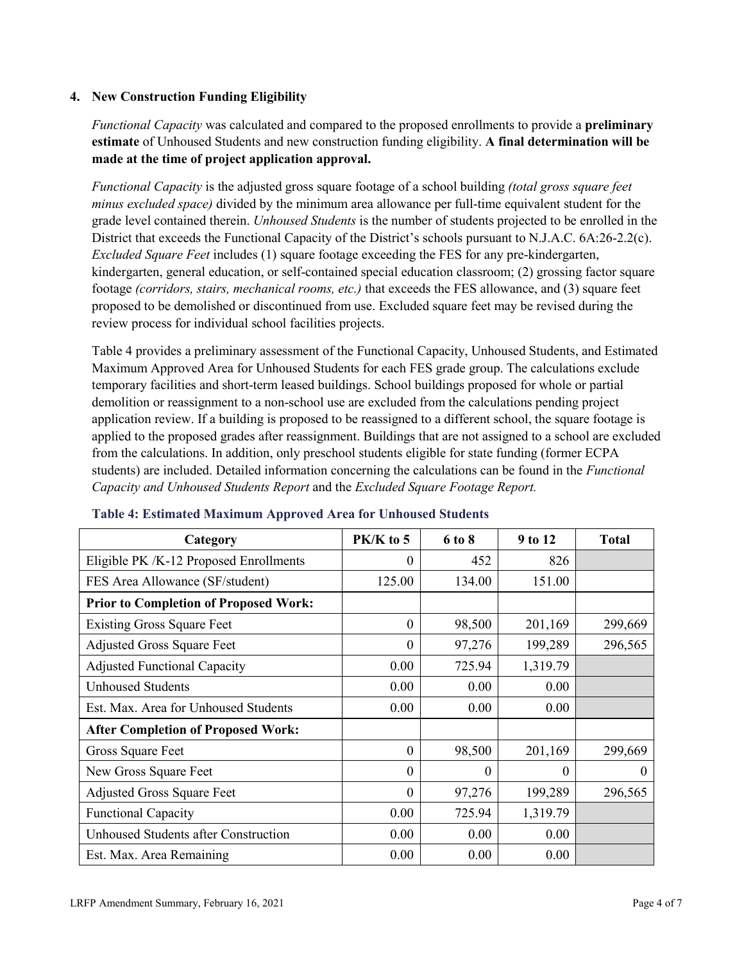### **4. New Construction Funding Eligibility**

*Functional Capacity* was calculated and compared to the proposed enrollments to provide a **preliminary estimate** of Unhoused Students and new construction funding eligibility. **A final determination will be made at the time of project application approval.**

*Functional Capacity* is the adjusted gross square footage of a school building *(total gross square feet minus excluded space)* divided by the minimum area allowance per full-time equivalent student for the grade level contained therein. *Unhoused Students* is the number of students projected to be enrolled in the District that exceeds the Functional Capacity of the District's schools pursuant to N.J.A.C. 6A:26-2.2(c). *Excluded Square Feet* includes (1) square footage exceeding the FES for any pre-kindergarten, kindergarten, general education, or self-contained special education classroom; (2) grossing factor square footage *(corridors, stairs, mechanical rooms, etc.)* that exceeds the FES allowance, and (3) square feet proposed to be demolished or discontinued from use. Excluded square feet may be revised during the review process for individual school facilities projects.

Table 4 provides a preliminary assessment of the Functional Capacity, Unhoused Students, and Estimated Maximum Approved Area for Unhoused Students for each FES grade group. The calculations exclude temporary facilities and short-term leased buildings. School buildings proposed for whole or partial demolition or reassignment to a non-school use are excluded from the calculations pending project application review. If a building is proposed to be reassigned to a different school, the square footage is applied to the proposed grades after reassignment. Buildings that are not assigned to a school are excluded from the calculations. In addition, only preschool students eligible for state funding (former ECPA students) are included. Detailed information concerning the calculations can be found in the *Functional Capacity and Unhoused Students Report* and the *Excluded Square Footage Report.*

| Category                                     | PK/K to 5 | 6 to 8   | 9 to 12  | <b>Total</b> |
|----------------------------------------------|-----------|----------|----------|--------------|
| Eligible PK /K-12 Proposed Enrollments       | 0         | 452      | 826      |              |
| FES Area Allowance (SF/student)              | 125.00    | 134.00   | 151.00   |              |
| <b>Prior to Completion of Proposed Work:</b> |           |          |          |              |
| <b>Existing Gross Square Feet</b>            | $\theta$  | 98,500   | 201,169  | 299,669      |
| <b>Adjusted Gross Square Feet</b>            | $\theta$  | 97,276   | 199,289  | 296,565      |
| <b>Adjusted Functional Capacity</b>          | 0.00      | 725.94   | 1,319.79 |              |
| <b>Unhoused Students</b>                     | 0.00      | 0.00     | 0.00     |              |
| Est. Max. Area for Unhoused Students         | 0.00      | 0.00     | 0.00     |              |
| <b>After Completion of Proposed Work:</b>    |           |          |          |              |
| Gross Square Feet                            | $\theta$  | 98,500   | 201,169  | 299,669      |
| New Gross Square Feet                        | $\theta$  | $\theta$ | $\theta$ | $\theta$     |
| <b>Adjusted Gross Square Feet</b>            | $\theta$  | 97,276   | 199,289  | 296,565      |
| <b>Functional Capacity</b>                   | 0.00      | 725.94   | 1,319.79 |              |
| Unhoused Students after Construction         | 0.00      | 0.00     | 0.00     |              |
| Est. Max. Area Remaining                     | 0.00      | 0.00     | 0.00     |              |

#### **Table 4: Estimated Maximum Approved Area for Unhoused Students**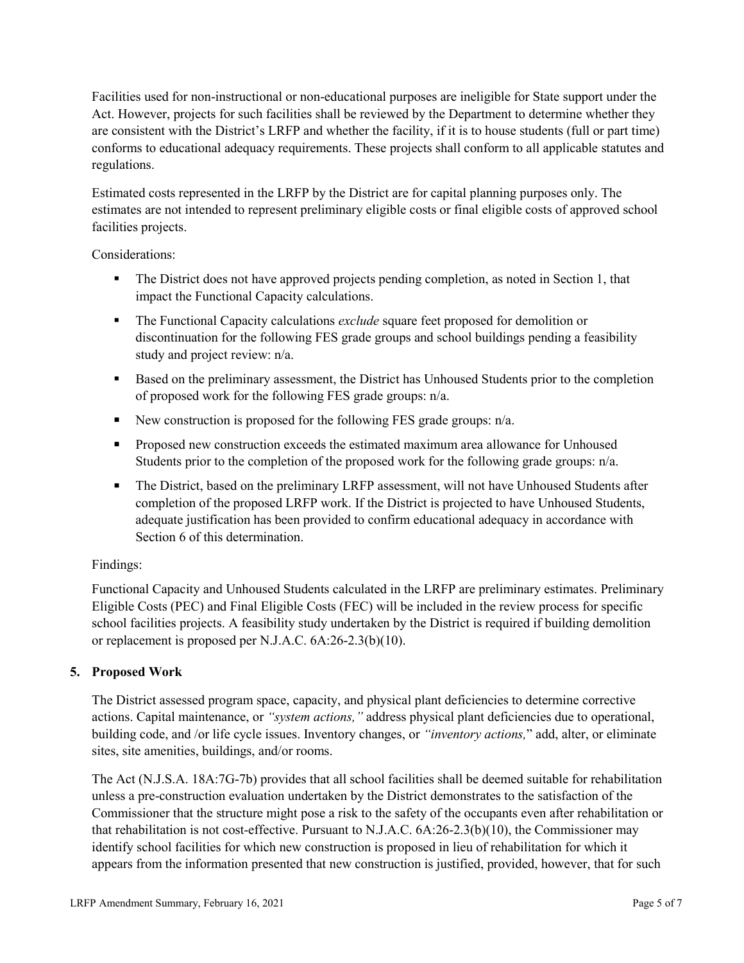Facilities used for non-instructional or non-educational purposes are ineligible for State support under the Act. However, projects for such facilities shall be reviewed by the Department to determine whether they are consistent with the District's LRFP and whether the facility, if it is to house students (full or part time) conforms to educational adequacy requirements. These projects shall conform to all applicable statutes and regulations.

Estimated costs represented in the LRFP by the District are for capital planning purposes only. The estimates are not intended to represent preliminary eligible costs or final eligible costs of approved school facilities projects.

Considerations:

- The District does not have approved projects pending completion, as noted in Section 1, that impact the Functional Capacity calculations.
- **The Functional Capacity calculations** *exclude* square feet proposed for demolition or discontinuation for the following FES grade groups and school buildings pending a feasibility study and project review: n/a.
- Based on the preliminary assessment, the District has Unhoused Students prior to the completion of proposed work for the following FES grade groups: n/a.
- New construction is proposed for the following FES grade groups: n/a.
- Proposed new construction exceeds the estimated maximum area allowance for Unhoused Students prior to the completion of the proposed work for the following grade groups: n/a.
- The District, based on the preliminary LRFP assessment, will not have Unhoused Students after completion of the proposed LRFP work. If the District is projected to have Unhoused Students, adequate justification has been provided to confirm educational adequacy in accordance with Section 6 of this determination.

### Findings:

Functional Capacity and Unhoused Students calculated in the LRFP are preliminary estimates. Preliminary Eligible Costs (PEC) and Final Eligible Costs (FEC) will be included in the review process for specific school facilities projects. A feasibility study undertaken by the District is required if building demolition or replacement is proposed per N.J.A.C. 6A:26-2.3(b)(10).

# **5. Proposed Work**

The District assessed program space, capacity, and physical plant deficiencies to determine corrective actions. Capital maintenance, or *"system actions,"* address physical plant deficiencies due to operational, building code, and /or life cycle issues. Inventory changes, or *"inventory actions,*" add, alter, or eliminate sites, site amenities, buildings, and/or rooms.

The Act (N.J.S.A. 18A:7G-7b) provides that all school facilities shall be deemed suitable for rehabilitation unless a pre-construction evaluation undertaken by the District demonstrates to the satisfaction of the Commissioner that the structure might pose a risk to the safety of the occupants even after rehabilitation or that rehabilitation is not cost-effective. Pursuant to N.J.A.C. 6A:26-2.3(b)(10), the Commissioner may identify school facilities for which new construction is proposed in lieu of rehabilitation for which it appears from the information presented that new construction is justified, provided, however, that for such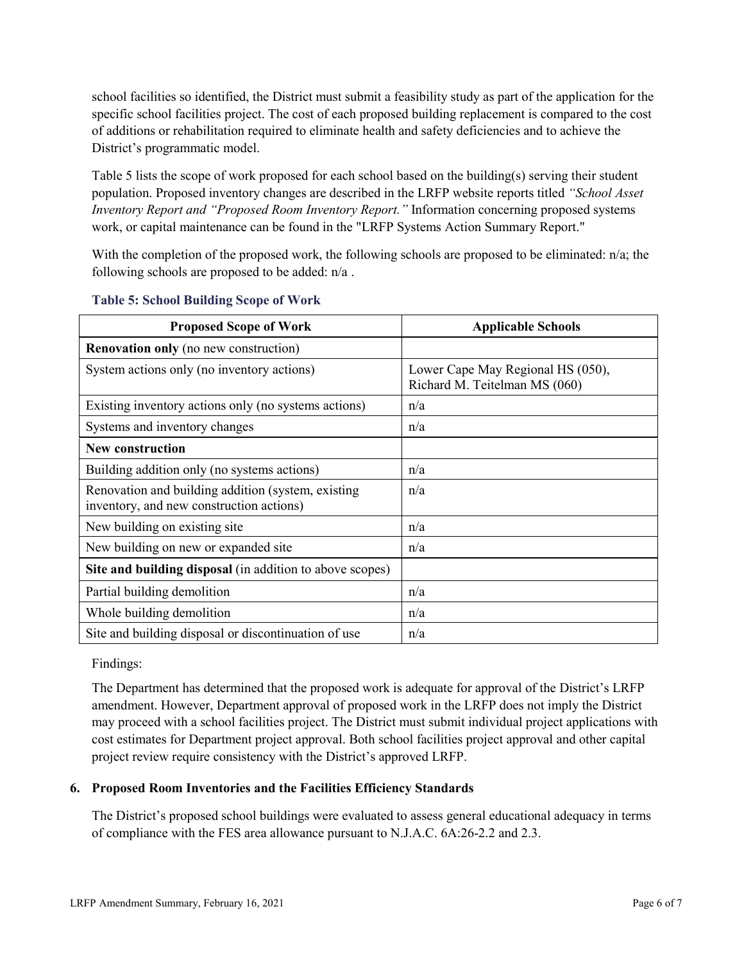school facilities so identified, the District must submit a feasibility study as part of the application for the specific school facilities project. The cost of each proposed building replacement is compared to the cost of additions or rehabilitation required to eliminate health and safety deficiencies and to achieve the District's programmatic model.

Table 5 lists the scope of work proposed for each school based on the building(s) serving their student population. Proposed inventory changes are described in the LRFP website reports titled *"School Asset Inventory Report and "Proposed Room Inventory Report."* Information concerning proposed systems work, or capital maintenance can be found in the "LRFP Systems Action Summary Report."

With the completion of the proposed work, the following schools are proposed to be eliminated: n/a; the following schools are proposed to be added: n/a .

| <b>Proposed Scope of Work</b>                                                                  | <b>Applicable Schools</b>                                          |
|------------------------------------------------------------------------------------------------|--------------------------------------------------------------------|
| <b>Renovation only</b> (no new construction)                                                   |                                                                    |
| System actions only (no inventory actions)                                                     | Lower Cape May Regional HS (050),<br>Richard M. Teitelman MS (060) |
| Existing inventory actions only (no systems actions)                                           | n/a                                                                |
| Systems and inventory changes                                                                  | n/a                                                                |
| <b>New construction</b>                                                                        |                                                                    |
| Building addition only (no systems actions)                                                    | n/a                                                                |
| Renovation and building addition (system, existing<br>inventory, and new construction actions) | n/a                                                                |
| New building on existing site.                                                                 | n/a                                                                |
| New building on new or expanded site                                                           | n/a                                                                |
| Site and building disposal (in addition to above scopes)                                       |                                                                    |
| Partial building demolition                                                                    | n/a                                                                |
| Whole building demolition                                                                      | n/a                                                                |
| Site and building disposal or discontinuation of use                                           | n/a                                                                |

#### **Table 5: School Building Scope of Work**

Findings:

The Department has determined that the proposed work is adequate for approval of the District's LRFP amendment. However, Department approval of proposed work in the LRFP does not imply the District may proceed with a school facilities project. The District must submit individual project applications with cost estimates for Department project approval. Both school facilities project approval and other capital project review require consistency with the District's approved LRFP.

### **6. Proposed Room Inventories and the Facilities Efficiency Standards**

The District's proposed school buildings were evaluated to assess general educational adequacy in terms of compliance with the FES area allowance pursuant to N.J.A.C. 6A:26-2.2 and 2.3.